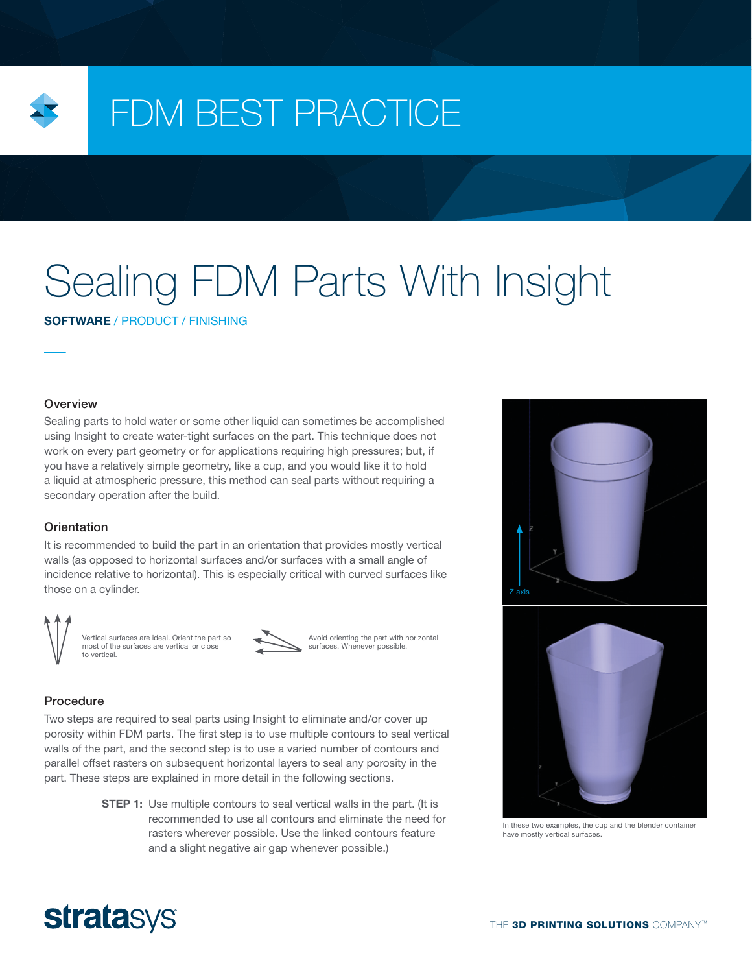

## FDM BEST PRACTICE

# Sealing FDM Parts With Insight

SOFTWARE / PRODUCT / FINISHING

**Overview** 

Sealing parts to hold water or some other liquid can sometimes be accomplished using Insight to create water-tight surfaces on the part. This technique does not work on every part geometry or for applications requiring high pressures; but, if you have a relatively simple geometry, like a cup, and you would like it to hold a liquid at atmospheric pressure, this method can seal parts without requiring a secondary operation after the build.

### **Orientation**

It is recommended to build the part in an orientation that provides mostly vertical walls (as opposed to horizontal surfaces and/or surfaces with a small angle of incidence relative to horizontal). This is especially critical with curved surfaces like those on a cylinder.



Vertical surfaces are ideal. Orient the part so most of the surfaces are vertical or close to vertical.



Avoid orienting the part with horizontal surfaces. Whenever possible.

### Procedure

Two steps are required to seal parts using Insight to eliminate and/or cover up porosity within FDM parts. The first step is to use multiple contours to seal vertical walls of the part, and the second step is to use a varied number of contours and parallel offset rasters on subsequent horizontal layers to seal any porosity in the part. These steps are explained in more detail in the following sections.

> **STEP 1:** Use multiple contours to seal vertical walls in the part. (It is recommended to use all contours and eliminate the need for rasters wherever possible. Use the linked contours feature and a slight negative air gap whenever possible.)





In these two examples, the cup and the blender container have mostly vertical surfaces.

### **stratasys**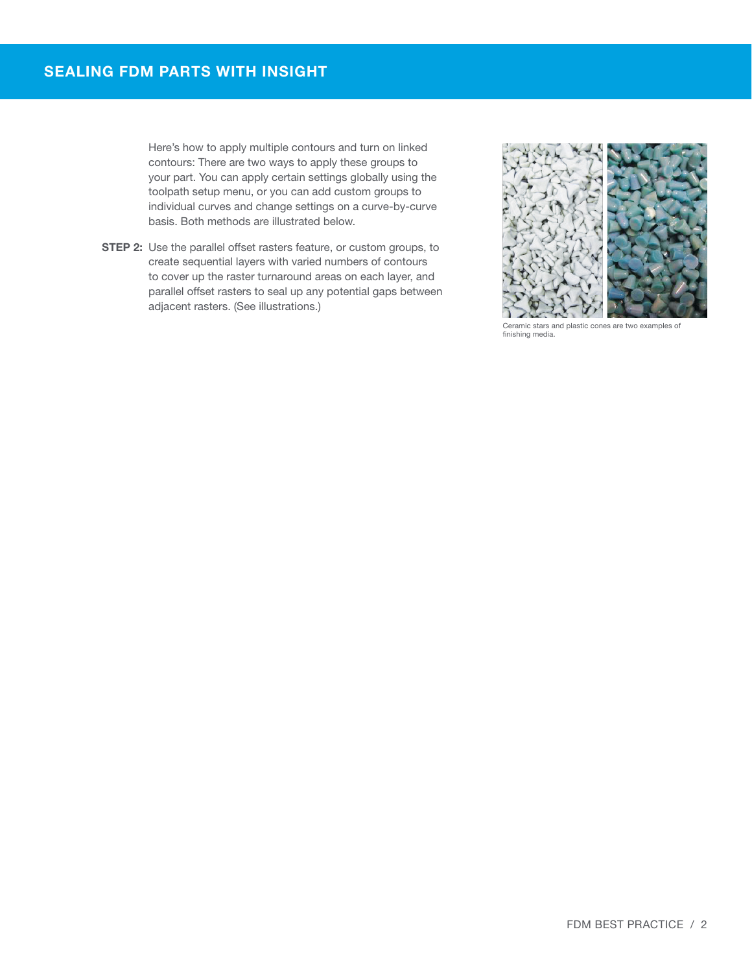Here's how to apply multiple contours and turn on linked contours: There are two ways to apply these groups to your part. You can apply certain settings globally using the toolpath setup menu, or you can add custom groups to individual curves and change settings on a curve-by-curve basis. Both methods are illustrated below.

**STEP 2:** Use the parallel offset rasters feature, or custom groups, to create sequential layers with varied numbers of contours to cover up the raster turnaround areas on each layer, and parallel offset rasters to seal up any potential gaps between adjacent rasters. (See illustrations.)



Ceramic stars and plastic cones are two examples of finishing media.